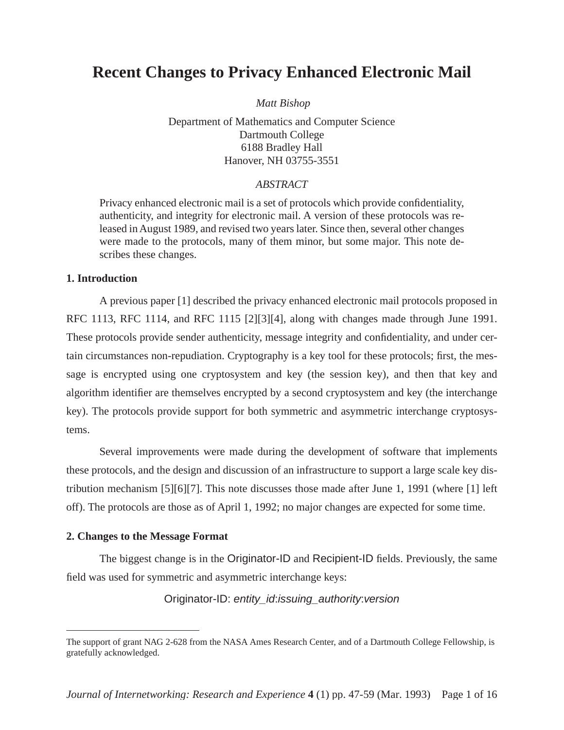# **Recent Changes to Privacy Enhanced Electronic Mail**

 *Matt Bishop*

Department of Mathematics and Computer Science Dartmouth College 6188 Bradley Hall Hanover, NH 03755-3551

## *ABSTRACT*

Privacy enhanced electronic mail is a set of protocols which provide confidentiality, authenticity, and integrity for electronic mail. A version of these protocols was released in August 1989, and revised two years later. Since then, several other changes were made to the protocols, many of them minor, but some major. This note describes these changes.

#### **1. Introduction**

A previous paper [1] described the privacy enhanced electronic mail protocols proposed in RFC 1113, RFC 1114, and RFC 1115 [2][3][4], along with changes made through June 1991. These protocols provide sender authenticity, message integrity and confidentiality, and under certain circumstances non-repudiation. Cryptography is a key tool for these protocols; first, the message is encrypted using one cryptosystem and key (the session key), and then that key and algorithm identifier are themselves encrypted by a second cryptosystem and key (the interchange key). The protocols provide support for both symmetric and asymmetric interchange cryptosystems.

Several improvements were made during the development of software that implements these protocols, and the design and discussion of an infrastructure to support a large scale key distribution mechanism [5][6][7]. This note discusses those made after June 1, 1991 (where [1] left off). The protocols are those as of April 1, 1992; no major changes are expected for some time.

#### **2. Changes to the Message Format**

The biggest change is in the Originator-ID and Recipient-ID fields. Previously, the same field was used for symmetric and asymmetric interchange keys:

Originator-ID: entity\_id:issuing\_authority:version

The support of grant NAG 2-628 from the NASA Ames Research Center, and of a Dartmouth College Fellowship, is gratefully acknowledged.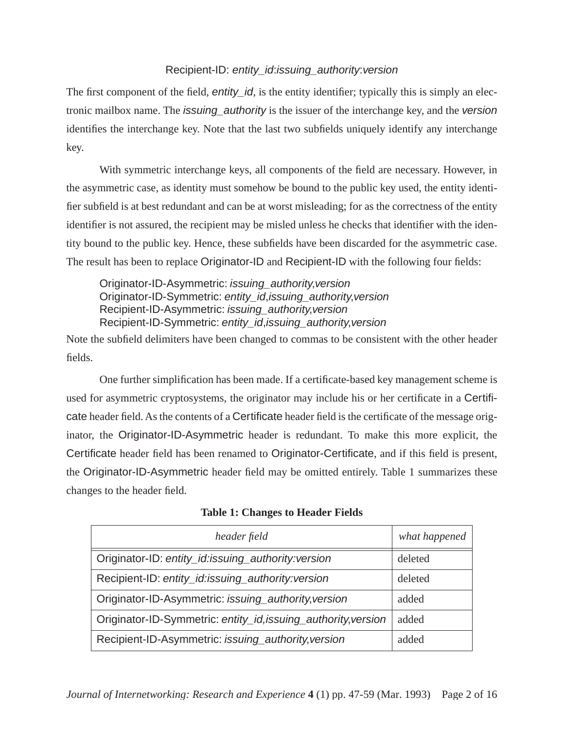## Recipient-ID: entity\_id:issuing\_authority:version

The first component of the field, *entity\_id*, is the entity identifier; typically this is simply an electronic mailbox name. The issuing\_authority is the issuer of the interchange key, and the version identifies the interchange key. Note that the last two subfields uniquely identify any interchange key.

With symmetric interchange keys, all components of the field are necessary. However, in the asymmetric case, as identity must somehow be bound to the public key used, the entity identifier subfield is at best redundant and can be at worst misleading; for as the correctness of the entity identifier is not assured, the recipient may be misled unless he checks that identifier with the identity bound to the public key. Hence, these subfields have been discarded for the asymmetric case. The result has been to replace Originator-ID and Recipient-ID with the following four fields:

Originator-ID-Asymmetric: issuing\_authority,version Originator-ID-Symmetric: entity\_id,issuing\_authority,version Recipient-ID-Asymmetric: issuing\_authority,version Recipient-ID-Symmetric: entity id, issuing authority, version

Note the subfield delimiters have been changed to commas to be consistent with the other header fields.

One further simplification has been made. If a certificate-based key management scheme is used for asymmetric cryptosystems, the originator may include his or her certificate in a Certificate header field. As the contents of a Certificate header field is the certificate of the message originator, the Originator-ID-Asymmetric header is redundant. To make this more explicit, the Certificate header field has been renamed to Originator-Certificate, and if this field is present, the Originator-ID-Asymmetric header field may be omitted entirely. Table 1 summarizes these changes to the header field.

| header field                                                   | what happened |
|----------------------------------------------------------------|---------------|
| Originator-ID: entity_id:issuing_authority:version             | deleted       |
| Recipient-ID: entity_id:issuing_authority:version              | deleted       |
| Originator-ID-Asymmetric: issuing_authority, version           | added         |
| Originator-ID-Symmetric: entity_id, issuing_authority, version | added         |
| Recipient-ID-Asymmetric: issuing_authority, version            | added         |

**Table 1: Changes to Header Fields**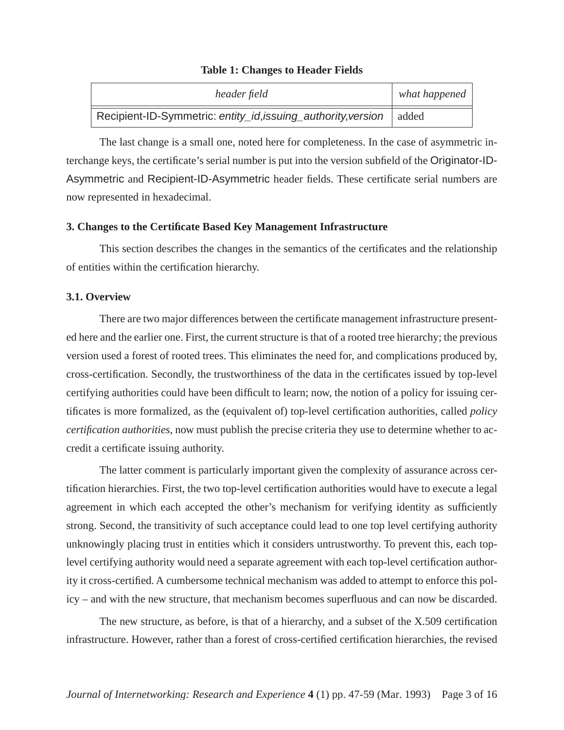#### **Table 1: Changes to Header Fields**

| header field                                                          | what happened $ $ |
|-----------------------------------------------------------------------|-------------------|
| Recipient-ID-Symmetric: entity_id, issuing_authority, version   added |                   |

The last change is a small one, noted here for completeness. In the case of asymmetric interchange keys, the certificate's serial number is put into the version subfield of the Originator-ID-Asymmetric and Recipient-ID-Asymmetric header fields. These certificate serial numbers are now represented in hexadecimal.

#### **3. Changes to the Certificate Based Key Management Infrastructure**

This section describes the changes in the semantics of the certificates and the relationship of entities within the certification hierarchy.

## **3.1. Overview**

There are two major differences between the certificate management infrastructure presented here and the earlier one. First, the current structure is that of a rooted tree hierarchy; the previous version used a forest of rooted trees. This eliminates the need for, and complications produced by, cross-certification. Secondly, the trustworthiness of the data in the certificates issued by top-level certifying authorities could have been difficult to learn; now, the notion of a policy for issuing certificates is more formalized, as the (equivalent of) top-level certification authorities, called *policy certification authorities*, now must publish the precise criteria they use to determine whether to accredit a certificate issuing authority.

The latter comment is particularly important given the complexity of assurance across certification hierarchies. First, the two top-level certification authorities would have to execute a legal agreement in which each accepted the other's mechanism for verifying identity as sufficiently strong. Second, the transitivity of such acceptance could lead to one top level certifying authority unknowingly placing trust in entities which it considers untrustworthy. To prevent this, each toplevel certifying authority would need a separate agreement with each top-level certification authority it cross-certified. A cumbersome technical mechanism was added to attempt to enforce this policy – and with the new structure, that mechanism becomes superfluous and can now be discarded.

The new structure, as before, is that of a hierarchy, and a subset of the X.509 certification infrastructure. However, rather than a forest of cross-certified certification hierarchies, the revised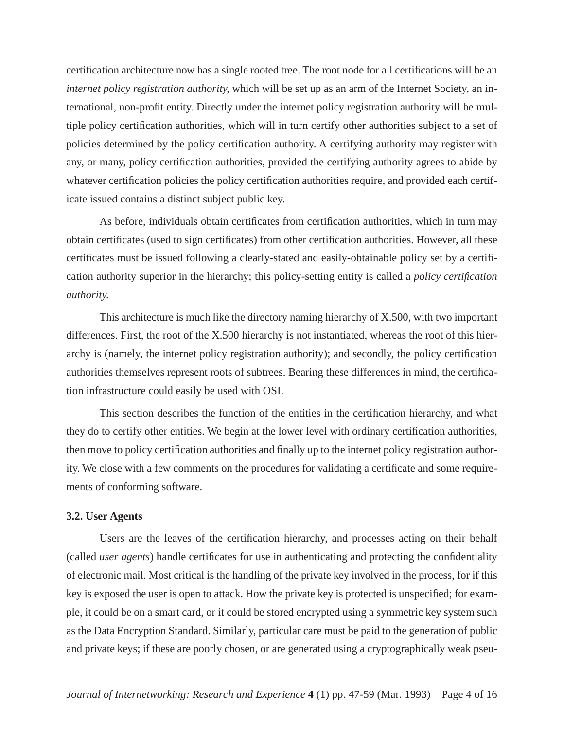certification architecture now has a single rooted tree. The root node for all certifications will be an *internet policy registration authority*, which will be set up as an arm of the Internet Society, an international, non-profit entity. Directly under the internet policy registration authority will be multiple policy certification authorities, which will in turn certify other authorities subject to a set of policies determined by the policy certification authority. A certifying authority may register with any, or many, policy certification authorities, provided the certifying authority agrees to abide by whatever certification policies the policy certification authorities require, and provided each certificate issued contains a distinct subject public key.

As before, individuals obtain certificates from certification authorities, which in turn may obtain certificates (used to sign certificates) from other certification authorities. However, all these certificates must be issued following a clearly-stated and easily-obtainable policy set by a certification authority superior in the hierarchy; this policy-setting entity is called a *policy certification authority*.

This architecture is much like the directory naming hierarchy of X.500, with two important differences. First, the root of the X.500 hierarchy is not instantiated, whereas the root of this hierarchy is (namely, the internet policy registration authority); and secondly, the policy certification authorities themselves represent roots of subtrees. Bearing these differences in mind, the certification infrastructure could easily be used with OSI.

This section describes the function of the entities in the certification hierarchy, and what they do to certify other entities. We begin at the lower level with ordinary certification authorities, then move to policy certification authorities and finally up to the internet policy registration authority. We close with a few comments on the procedures for validating a certificate and some requirements of conforming software.

#### **3.2. User Agents**

Users are the leaves of the certification hierarchy, and processes acting on their behalf (called *user agents*) handle certificates for use in authenticating and protecting the confidentiality of electronic mail. Most critical is the handling of the private key involved in the process, for if this key is exposed the user is open to attack. How the private key is protected is unspecified; for example, it could be on a smart card, or it could be stored encrypted using a symmetric key system such as the Data Encryption Standard. Similarly, particular care must be paid to the generation of public and private keys; if these are poorly chosen, or are generated using a cryptographically weak pseu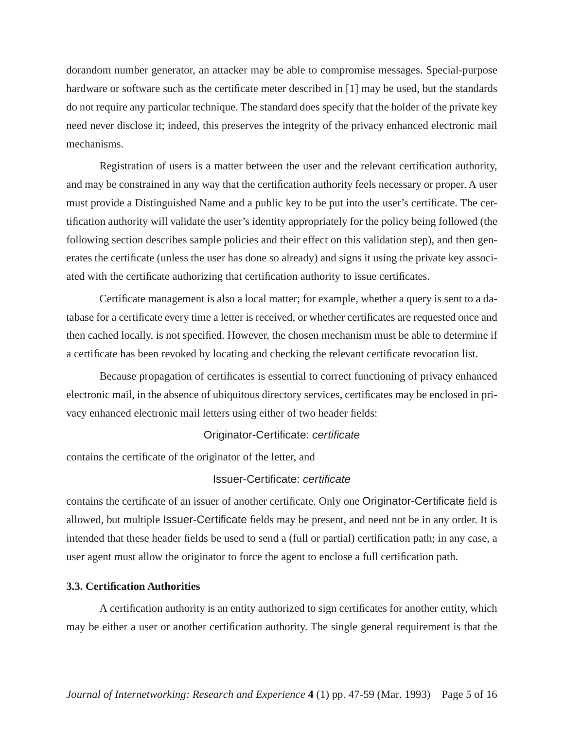dorandom number generator, an attacker may be able to compromise messages. Special-purpose hardware or software such as the certificate meter described in [1] may be used, but the standards do not require any particular technique. The standard does specify that the holder of the private key need never disclose it; indeed, this preserves the integrity of the privacy enhanced electronic mail mechanisms.

Registration of users is a matter between the user and the relevant certification authority, and may be constrained in any way that the certification authority feels necessary or proper. A user must provide a Distinguished Name and a public key to be put into the user's certificate. The certification authority will validate the user's identity appropriately for the policy being followed (the following section describes sample policies and their effect on this validation step), and then generates the certificate (unless the user has done so already) and signs it using the private key associated with the certificate authorizing that certification authority to issue certificates.

Certificate management is also a local matter; for example, whether a query is sent to a database for a certificate every time a letter is received, or whether certificates are requested once and then cached locally, is not specified. However, the chosen mechanism must be able to determine if a certificate has been revoked by locating and checking the relevant certificate revocation list.

Because propagation of certificates is essential to correct functioning of privacy enhanced electronic mail, in the absence of ubiquitous directory services, certificates may be enclosed in privacy enhanced electronic mail letters using either of two header fields:

## Originator-Certificate: certificate

contains the certificate of the originator of the letter, and

## Issuer-Certificate: certificate

contains the certificate of an issuer of another certificate. Only one Originator-Certificate field is allowed, but multiple Issuer-Certificate fields may be present, and need not be in any order. It is intended that these header fields be used to send a (full or partial) certification path; in any case, a user agent must allow the originator to force the agent to enclose a full certification path.

#### **3.3. Certification Authorities**

A certification authority is an entity authorized to sign certificates for another entity, which may be either a user or another certification authority. The single general requirement is that the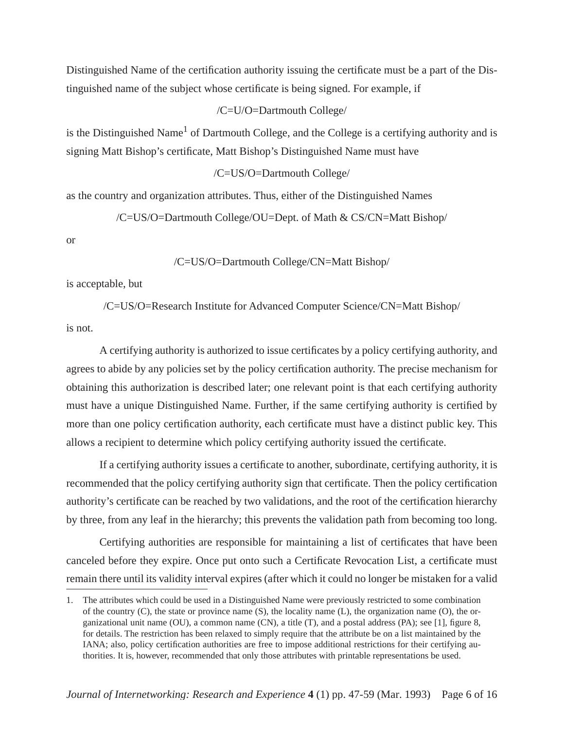Distinguished Name of the certification authority issuing the certificate must be a part of the Distinguished name of the subject whose certificate is being signed. For example, if

/C=U/O=Dartmouth College/

is the Distinguished Name<sup>1</sup> of Dartmouth College, and the College is a certifying authority and is signing Matt Bishop's certificate, Matt Bishop's Distinguished Name must have

/C=US/O=Dartmouth College/

as the country and organization attributes. Thus, either of the Distinguished Names

/C=US/O=Dartmouth College/OU=Dept. of Math & CS/CN=Matt Bishop/

or

/C=US/O=Dartmouth College/CN=Matt Bishop/

is acceptable, but

/C=US/O=Research Institute for Advanced Computer Science/CN=Matt Bishop/

is not.

A certifying authority is authorized to issue certificates by a policy certifying authority, and agrees to abide by any policies set by the policy certification authority. The precise mechanism for obtaining this authorization is described later; one relevant point is that each certifying authority must have a unique Distinguished Name. Further, if the same certifying authority is certified by more than one policy certification authority, each certificate must have a distinct public key. This allows a recipient to determine which policy certifying authority issued the certificate.

If a certifying authority issues a certificate to another, subordinate, certifying authority, it is recommended that the policy certifying authority sign that certificate. Then the policy certification authority's certificate can be reached by two validations, and the root of the certification hierarchy by three, from any leaf in the hierarchy; this prevents the validation path from becoming too long.

Certifying authorities are responsible for maintaining a list of certificates that have been canceled before they expire. Once put onto such a Certificate Revocation List, a certificate must remain there until its validity interval expires (after which it could no longer be mistaken for a valid

<sup>1.</sup> The attributes which could be used in a Distinguished Name were previously restricted to some combination of the country (C), the state or province name (S), the locality name (L), the organization name (O), the organizational unit name (OU), a common name (CN), a title (T), and a postal address (PA); see [1], figure 8, for details. The restriction has been relaxed to simply require that the attribute be on a list maintained by the IANA; also, policy certification authorities are free to impose additional restrictions for their certifying authorities. It is, however, recommended that only those attributes with printable representations be used.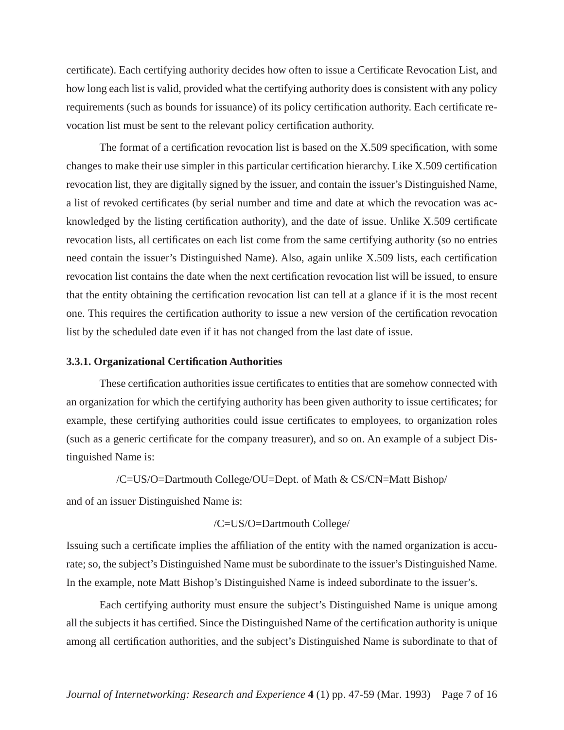certificate). Each certifying authority decides how often to issue a Certificate Revocation List, and how long each list is valid, provided what the certifying authority does is consistent with any policy requirements (such as bounds for issuance) of its policy certification authority. Each certificate revocation list must be sent to the relevant policy certification authority.

The format of a certification revocation list is based on the X.509 specification, with some changes to make their use simpler in this particular certification hierarchy. Like X.509 certification revocation list, they are digitally signed by the issuer, and contain the issuer's Distinguished Name, a list of revoked certificates (by serial number and time and date at which the revocation was acknowledged by the listing certification authority), and the date of issue. Unlike X.509 certificate revocation lists, all certificates on each list come from the same certifying authority (so no entries need contain the issuer's Distinguished Name). Also, again unlike X.509 lists, each certification revocation list contains the date when the next certification revocation list will be issued, to ensure that the entity obtaining the certification revocation list can tell at a glance if it is the most recent one. This requires the certification authority to issue a new version of the certification revocation list by the scheduled date even if it has not changed from the last date of issue.

#### **3.3.1. Organizational Certification Authorities**

These certification authorities issue certificates to entities that are somehow connected with an organization for which the certifying authority has been given authority to issue certificates; for example, these certifying authorities could issue certificates to employees, to organization roles (such as a generic certificate for the company treasurer), and so on. An example of a subject Distinguished Name is:

/C=US/O=Dartmouth College/OU=Dept. of Math & CS/CN=Matt Bishop/

and of an issuer Distinguished Name is:

#### /C=US/O=Dartmouth College/

Issuing such a certificate implies the affiliation of the entity with the named organization is accurate; so, the subject's Distinguished Name must be subordinate to the issuer's Distinguished Name. In the example, note Matt Bishop's Distinguished Name is indeed subordinate to the issuer's.

Each certifying authority must ensure the subject's Distinguished Name is unique among all the subjects it has certified. Since the Distinguished Name of the certification authority is unique among all certification authorities, and the subject's Distinguished Name is subordinate to that of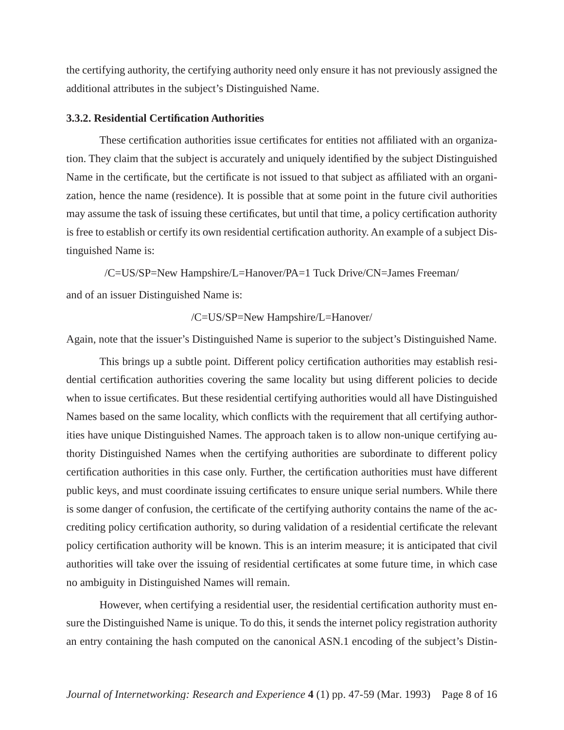the certifying authority, the certifying authority need only ensure it has not previously assigned the additional attributes in the subject's Distinguished Name.

## **3.3.2. Residential Certification Authorities**

These certification authorities issue certificates for entities not affiliated with an organization. They claim that the subject is accurately and uniquely identified by the subject Distinguished Name in the certificate, but the certificate is not issued to that subject as affiliated with an organization, hence the name (residence). It is possible that at some point in the future civil authorities may assume the task of issuing these certificates, but until that time, a policy certification authority is free to establish or certify its own residential certification authority. An example of a subject Distinguished Name is:

/C=US/SP=New Hampshire/L=Hanover/PA=1 Tuck Drive/CN=James Freeman/ and of an issuer Distinguished Name is:

/C=US/SP=New Hampshire/L=Hanover/

Again, note that the issuer's Distinguished Name is superior to the subject's Distinguished Name.

This brings up a subtle point. Different policy certification authorities may establish residential certification authorities covering the same locality but using different policies to decide when to issue certificates. But these residential certifying authorities would all have Distinguished Names based on the same locality, which conflicts with the requirement that all certifying authorities have unique Distinguished Names. The approach taken is to allow non-unique certifying authority Distinguished Names when the certifying authorities are subordinate to different policy certification authorities in this case only. Further, the certification authorities must have different public keys, and must coordinate issuing certificates to ensure unique serial numbers. While there is some danger of confusion, the certificate of the certifying authority contains the name of the accrediting policy certification authority, so during validation of a residential certificate the relevant policy certification authority will be known. This is an interim measure; it is anticipated that civil authorities will take over the issuing of residential certificates at some future time, in which case no ambiguity in Distinguished Names will remain.

However, when certifying a residential user, the residential certification authority must ensure the Distinguished Name is unique. To do this, it sends the internet policy registration authority an entry containing the hash computed on the canonical ASN.1 encoding of the subject's Distin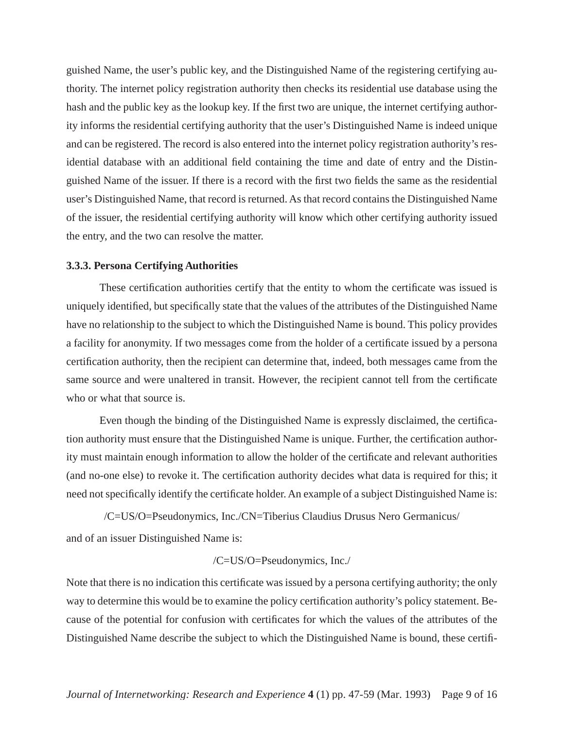guished Name, the user's public key, and the Distinguished Name of the registering certifying authority. The internet policy registration authority then checks its residential use database using the hash and the public key as the lookup key. If the first two are unique, the internet certifying authority informs the residential certifying authority that the user's Distinguished Name is indeed unique and can be registered. The record is also entered into the internet policy registration authority's residential database with an additional field containing the time and date of entry and the Distinguished Name of the issuer. If there is a record with the first two fields the same as the residential user's Distinguished Name, that record is returned. As that record contains the Distinguished Name of the issuer, the residential certifying authority will know which other certifying authority issued the entry, and the two can resolve the matter.

#### **3.3.3. Persona Certifying Authorities**

These certification authorities certify that the entity to whom the certificate was issued is uniquely identified, but specifically state that the values of the attributes of the Distinguished Name have no relationship to the subject to which the Distinguished Name is bound. This policy provides a facility for anonymity. If two messages come from the holder of a certificate issued by a persona certification authority, then the recipient can determine that, indeed, both messages came from the same source and were unaltered in transit. However, the recipient cannot tell from the certificate who or what that source is.

Even though the binding of the Distinguished Name is expressly disclaimed, the certification authority must ensure that the Distinguished Name is unique. Further, the certification authority must maintain enough information to allow the holder of the certificate and relevant authorities (and no-one else) to revoke it. The certification authority decides what data is required for this; it need not specifically identify the certificate holder. An example of a subject Distinguished Name is:

/C=US/O=Pseudonymics, Inc./CN=Tiberius Claudius Drusus Nero Germanicus/ and of an issuer Distinguished Name is:

$$
/C=US/O=Pseudonymics, Inc.
$$

Note that there is no indication this certificate was issued by a persona certifying authority; the only way to determine this would be to examine the policy certification authority's policy statement. Because of the potential for confusion with certificates for which the values of the attributes of the Distinguished Name describe the subject to which the Distinguished Name is bound, these certifi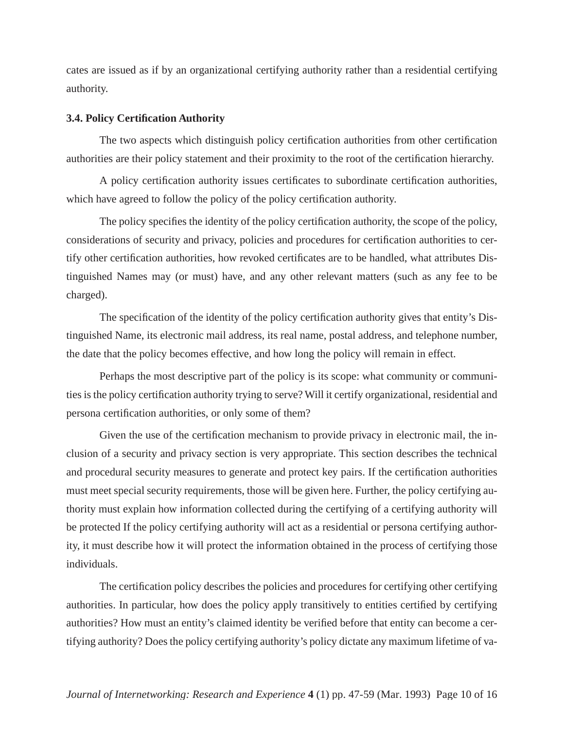cates are issued as if by an organizational certifying authority rather than a residential certifying authority.

## **3.4. Policy Certification Authority**

The two aspects which distinguish policy certification authorities from other certification authorities are their policy statement and their proximity to the root of the certification hierarchy.

A policy certification authority issues certificates to subordinate certification authorities, which have agreed to follow the policy of the policy certification authority.

The policy specifies the identity of the policy certification authority, the scope of the policy, considerations of security and privacy, policies and procedures for certification authorities to certify other certification authorities, how revoked certificates are to be handled, what attributes Distinguished Names may (or must) have, and any other relevant matters (such as any fee to be charged).

The specification of the identity of the policy certification authority gives that entity's Distinguished Name, its electronic mail address, its real name, postal address, and telephone number, the date that the policy becomes effective, and how long the policy will remain in effect.

Perhaps the most descriptive part of the policy is its scope: what community or communities is the policy certification authority trying to serve? Will it certify organizational, residential and persona certification authorities, or only some of them?

Given the use of the certification mechanism to provide privacy in electronic mail, the inclusion of a security and privacy section is very appropriate. This section describes the technical and procedural security measures to generate and protect key pairs. If the certification authorities must meet special security requirements, those will be given here. Further, the policy certifying authority must explain how information collected during the certifying of a certifying authority will be protected If the policy certifying authority will act as a residential or persona certifying authority, it must describe how it will protect the information obtained in the process of certifying those individuals.

The certification policy describes the policies and procedures for certifying other certifying authorities. In particular, how does the policy apply transitively to entities certified by certifying authorities? How must an entity's claimed identity be verified before that entity can become a certifying authority? Does the policy certifying authority's policy dictate any maximum lifetime of va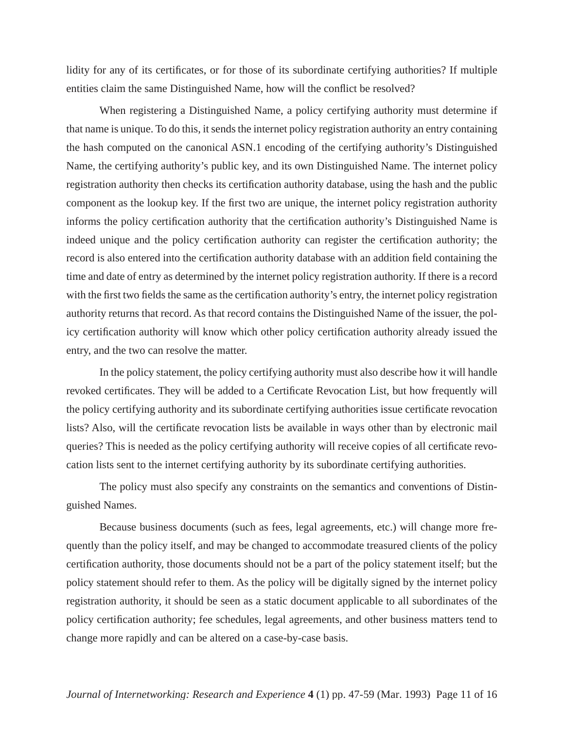lidity for any of its certificates, or for those of its subordinate certifying authorities? If multiple entities claim the same Distinguished Name, how will the conflict be resolved?

When registering a Distinguished Name, a policy certifying authority must determine if that name is unique. To do this, it sends the internet policy registration authority an entry containing the hash computed on the canonical ASN.1 encoding of the certifying authority's Distinguished Name, the certifying authority's public key, and its own Distinguished Name. The internet policy registration authority then checks its certification authority database, using the hash and the public component as the lookup key. If the first two are unique, the internet policy registration authority informs the policy certification authority that the certification authority's Distinguished Name is indeed unique and the policy certification authority can register the certification authority; the record is also entered into the certification authority database with an addition field containing the time and date of entry as determined by the internet policy registration authority. If there is a record with the first two fields the same as the certification authority's entry, the internet policy registration authority returns that record. As that record contains the Distinguished Name of the issuer, the policy certification authority will know which other policy certification authority already issued the entry, and the two can resolve the matter.

In the policy statement, the policy certifying authority must also describe how it will handle revoked certificates. They will be added to a Certificate Revocation List, but how frequently will the policy certifying authority and its subordinate certifying authorities issue certificate revocation lists? Also, will the certificate revocation lists be available in ways other than by electronic mail queries? This is needed as the policy certifying authority will receive copies of all certificate revocation lists sent to the internet certifying authority by its subordinate certifying authorities.

The policy must also specify any constraints on the semantics and conventions of Distinguished Names.

Because business documents (such as fees, legal agreements, etc.) will change more frequently than the policy itself, and may be changed to accommodate treasured clients of the policy certification authority, those documents should not be a part of the policy statement itself; but the policy statement should refer to them. As the policy will be digitally signed by the internet policy registration authority, it should be seen as a static document applicable to all subordinates of the policy certification authority; fee schedules, legal agreements, and other business matters tend to change more rapidly and can be altered on a case-by-case basis.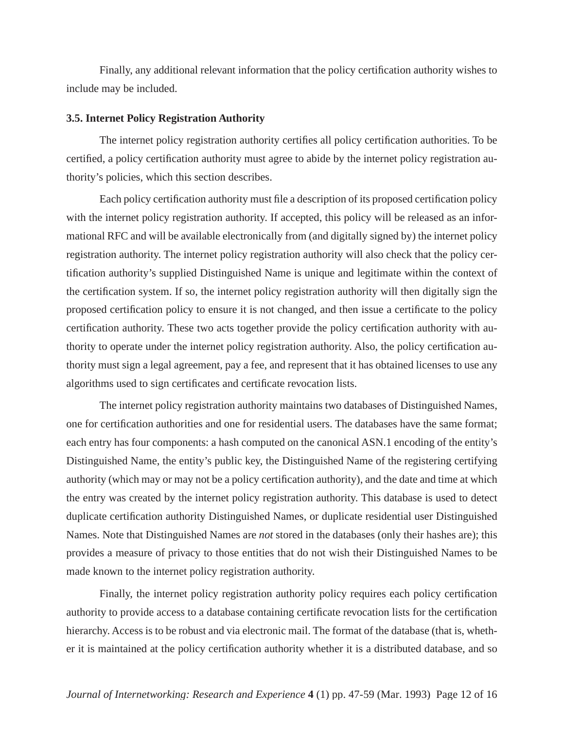Finally, any additional relevant information that the policy certification authority wishes to include may be included.

#### **3.5. Internet Policy Registration Authority**

The internet policy registration authority certifies all policy certification authorities. To be certified, a policy certification authority must agree to abide by the internet policy registration authority's policies, which this section describes.

Each policy certification authority must file a description of its proposed certification policy with the internet policy registration authority. If accepted, this policy will be released as an informational RFC and will be available electronically from (and digitally signed by) the internet policy registration authority. The internet policy registration authority will also check that the policy certification authority's supplied Distinguished Name is unique and legitimate within the context of the certification system. If so, the internet policy registration authority will then digitally sign the proposed certification policy to ensure it is not changed, and then issue a certificate to the policy certification authority. These two acts together provide the policy certification authority with authority to operate under the internet policy registration authority. Also, the policy certification authority must sign a legal agreement, pay a fee, and represent that it has obtained licenses to use any algorithms used to sign certificates and certificate revocation lists.

The internet policy registration authority maintains two databases of Distinguished Names, one for certification authorities and one for residential users. The databases have the same format; each entry has four components: a hash computed on the canonical ASN.1 encoding of the entity's Distinguished Name, the entity's public key, the Distinguished Name of the registering certifying authority (which may or may not be a policy certification authority), and the date and time at which the entry was created by the internet policy registration authority. This database is used to detect duplicate certification authority Distinguished Names, or duplicate residential user Distinguished Names. Note that Distinguished Names are *not* stored in the databases (only their hashes are); this provides a measure of privacy to those entities that do not wish their Distinguished Names to be made known to the internet policy registration authority.

Finally, the internet policy registration authority policy requires each policy certification authority to provide access to a database containing certificate revocation lists for the certification hierarchy. Access is to be robust and via electronic mail. The format of the database (that is, whether it is maintained at the policy certification authority whether it is a distributed database, and so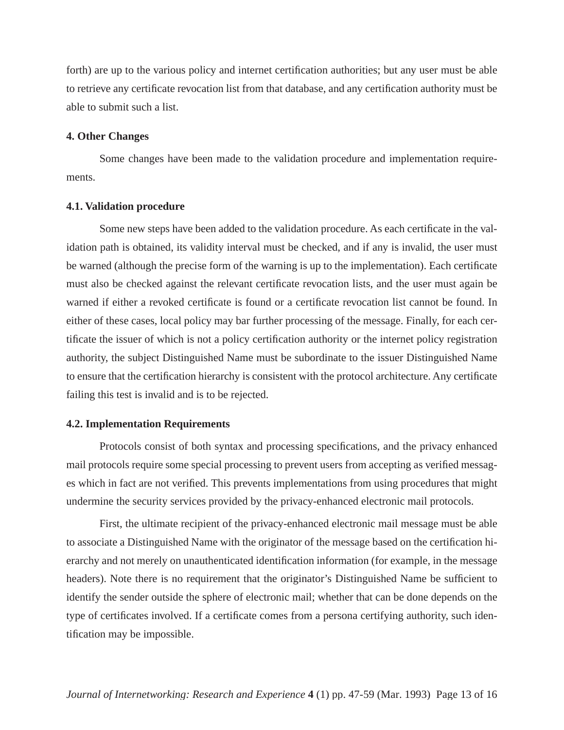forth) are up to the various policy and internet certification authorities; but any user must be able to retrieve any certificate revocation list from that database, and any certification authority must be able to submit such a list.

#### **4. Other Changes**

Some changes have been made to the validation procedure and implementation requirements.

#### **4.1. Validation procedure**

Some new steps have been added to the validation procedure. As each certificate in the validation path is obtained, its validity interval must be checked, and if any is invalid, the user must be warned (although the precise form of the warning is up to the implementation). Each certificate must also be checked against the relevant certificate revocation lists, and the user must again be warned if either a revoked certificate is found or a certificate revocation list cannot be found. In either of these cases, local policy may bar further processing of the message. Finally, for each certificate the issuer of which is not a policy certification authority or the internet policy registration authority, the subject Distinguished Name must be subordinate to the issuer Distinguished Name to ensure that the certification hierarchy is consistent with the protocol architecture. Any certificate failing this test is invalid and is to be rejected.

#### **4.2. Implementation Requirements**

Protocols consist of both syntax and processing specifications, and the privacy enhanced mail protocols require some special processing to prevent users from accepting as verified messages which in fact are not verified. This prevents implementations from using procedures that might undermine the security services provided by the privacy-enhanced electronic mail protocols.

First, the ultimate recipient of the privacy-enhanced electronic mail message must be able to associate a Distinguished Name with the originator of the message based on the certification hierarchy and not merely on unauthenticated identification information (for example, in the message headers). Note there is no requirement that the originator's Distinguished Name be sufficient to identify the sender outside the sphere of electronic mail; whether that can be done depends on the type of certificates involved. If a certificate comes from a persona certifying authority, such identification may be impossible.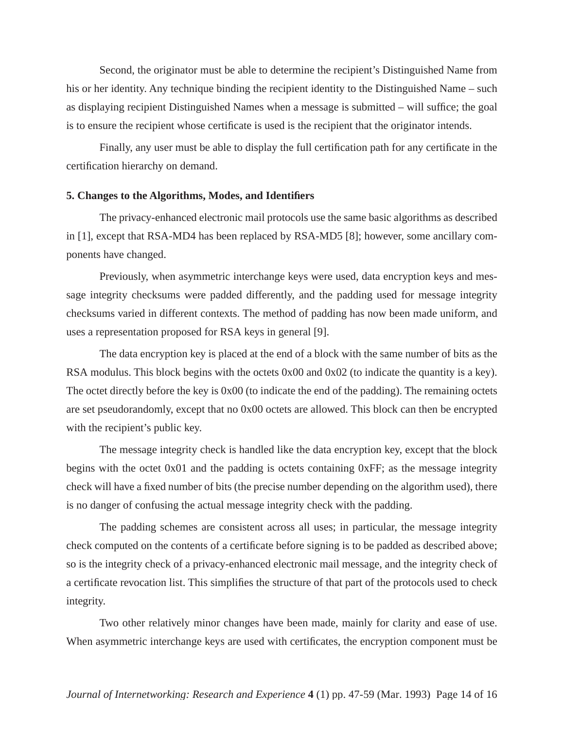Second, the originator must be able to determine the recipient's Distinguished Name from his or her identity. Any technique binding the recipient identity to the Distinguished Name – such as displaying recipient Distinguished Names when a message is submitted – will suffice; the goal is to ensure the recipient whose certificate is used is the recipient that the originator intends.

Finally, any user must be able to display the full certification path for any certificate in the certification hierarchy on demand.

#### **5. Changes to the Algorithms, Modes, and Identifiers**

The privacy-enhanced electronic mail protocols use the same basic algorithms as described in [1], except that RSA-MD4 has been replaced by RSA-MD5 [8]; however, some ancillary components have changed.

Previously, when asymmetric interchange keys were used, data encryption keys and message integrity checksums were padded differently, and the padding used for message integrity checksums varied in different contexts. The method of padding has now been made uniform, and uses a representation proposed for RSA keys in general [9].

The data encryption key is placed at the end of a block with the same number of bits as the RSA modulus. This block begins with the octets 0x00 and 0x02 (to indicate the quantity is a key). The octet directly before the key is 0x00 (to indicate the end of the padding). The remaining octets are set pseudorandomly, except that no 0x00 octets are allowed. This block can then be encrypted with the recipient's public key.

The message integrity check is handled like the data encryption key, except that the block begins with the octet 0x01 and the padding is octets containing 0xFF; as the message integrity check will have a fixed number of bits (the precise number depending on the algorithm used), there is no danger of confusing the actual message integrity check with the padding.

The padding schemes are consistent across all uses; in particular, the message integrity check computed on the contents of a certificate before signing is to be padded as described above; so is the integrity check of a privacy-enhanced electronic mail message, and the integrity check of a certificate revocation list. This simplifies the structure of that part of the protocols used to check integrity.

Two other relatively minor changes have been made, mainly for clarity and ease of use. When asymmetric interchange keys are used with certificates, the encryption component must be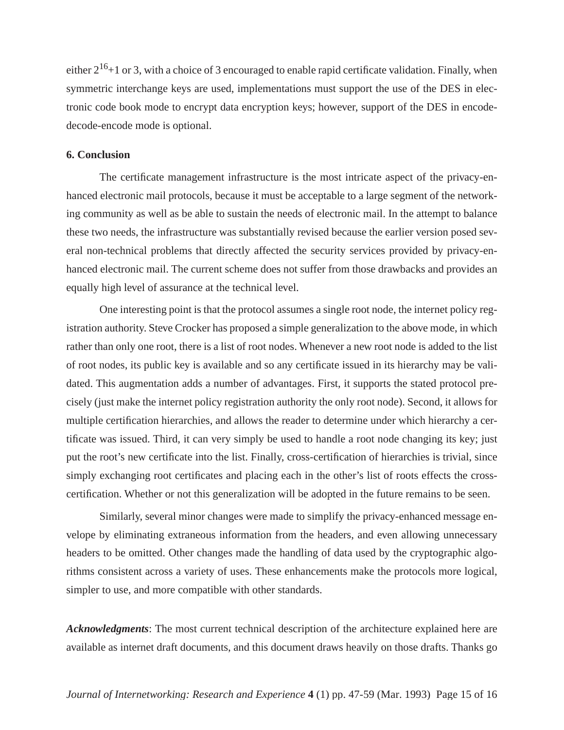either  $2^{16}+1$  or 3, with a choice of 3 encouraged to enable rapid certificate validation. Finally, when symmetric interchange keys are used, implementations must support the use of the DES in electronic code book mode to encrypt data encryption keys; however, support of the DES in encodedecode-encode mode is optional.

#### **6. Conclusion**

The certificate management infrastructure is the most intricate aspect of the privacy-enhanced electronic mail protocols, because it must be acceptable to a large segment of the networking community as well as be able to sustain the needs of electronic mail. In the attempt to balance these two needs, the infrastructure was substantially revised because the earlier version posed several non-technical problems that directly affected the security services provided by privacy-enhanced electronic mail. The current scheme does not suffer from those drawbacks and provides an equally high level of assurance at the technical level.

One interesting point is that the protocol assumes a single root node, the internet policy registration authority. Steve Crocker has proposed a simple generalization to the above mode, in which rather than only one root, there is a list of root nodes. Whenever a new root node is added to the list of root nodes, its public key is available and so any certificate issued in its hierarchy may be validated. This augmentation adds a number of advantages. First, it supports the stated protocol precisely (just make the internet policy registration authority the only root node). Second, it allows for multiple certification hierarchies, and allows the reader to determine under which hierarchy a certificate was issued. Third, it can very simply be used to handle a root node changing its key; just put the root's new certificate into the list. Finally, cross-certification of hierarchies is trivial, since simply exchanging root certificates and placing each in the other's list of roots effects the crosscertification. Whether or not this generalization will be adopted in the future remains to be seen.

Similarly, several minor changes were made to simplify the privacy-enhanced message envelope by eliminating extraneous information from the headers, and even allowing unnecessary headers to be omitted. Other changes made the handling of data used by the cryptographic algorithms consistent across a variety of uses. These enhancements make the protocols more logical, simpler to use, and more compatible with other standards.

*Acknowledgments*: The most current technical description of the architecture explained here are available as internet draft documents, and this document draws heavily on those drafts. Thanks go